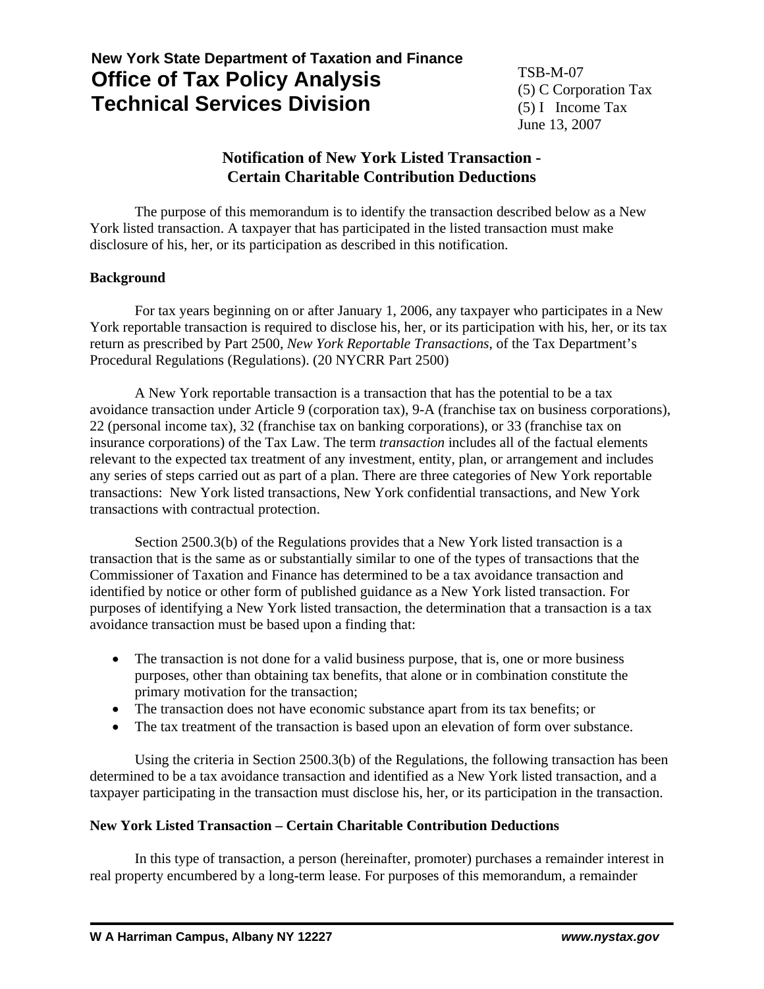# **New York State Department of Taxation and Finance Office of Tax Policy Analysis Technical Services Division**

TSB-M-07 (5) C Corporation Tax (5) I Income Tax June 13, 2007

# **Notification of New York Listed Transaction - Certain Charitable Contribution Deductions**

The purpose of this memorandum is to identify the transaction described below as a New York listed transaction. A taxpayer that has participated in the listed transaction must make disclosure of his, her, or its participation as described in this notification.

# **Background**

For tax years beginning on or after January 1, 2006, any taxpayer who participates in a New York reportable transaction is required to disclose his, her, or its participation with his, her, or its tax return as prescribed by Part 2500, *New York Reportable Transactions*, of the Tax Department's Procedural Regulations (Regulations). (20 NYCRR Part 2500)

A New York reportable transaction is a transaction that has the potential to be a tax avoidance transaction under Article 9 (corporation tax), 9-A (franchise tax on business corporations), 22 (personal income tax), 32 (franchise tax on banking corporations), or 33 (franchise tax on insurance corporations) of the Tax Law. The term *transaction* includes all of the factual elements relevant to the expected tax treatment of any investment, entity, plan, or arrangement and includes any series of steps carried out as part of a plan. There are three categories of New York reportable transactions: New York listed transactions, New York confidential transactions, and New York transactions with contractual protection.

Section 2500.3(b) of the Regulations provides that a New York listed transaction is a transaction that is the same as or substantially similar to one of the types of transactions that the Commissioner of Taxation and Finance has determined to be a tax avoidance transaction and identified by notice or other form of published guidance as a New York listed transaction. For purposes of identifying a New York listed transaction, the determination that a transaction is a tax avoidance transaction must be based upon a finding that:

- The transaction is not done for a valid business purpose, that is, one or more business purposes, other than obtaining tax benefits, that alone or in combination constitute the primary motivation for the transaction;
- The transaction does not have economic substance apart from its tax benefits; or
- The tax treatment of the transaction is based upon an elevation of form over substance.

Using the criteria in Section 2500.3(b) of the Regulations, the following transaction has been determined to be a tax avoidance transaction and identified as a New York listed transaction, and a taxpayer participating in the transaction must disclose his, her, or its participation in the transaction.

# **New York Listed Transaction – Certain Charitable Contribution Deductions**

In this type of transaction, a person (hereinafter, promoter) purchases a remainder interest in real property encumbered by a long-term lease. For purposes of this memorandum, a remainder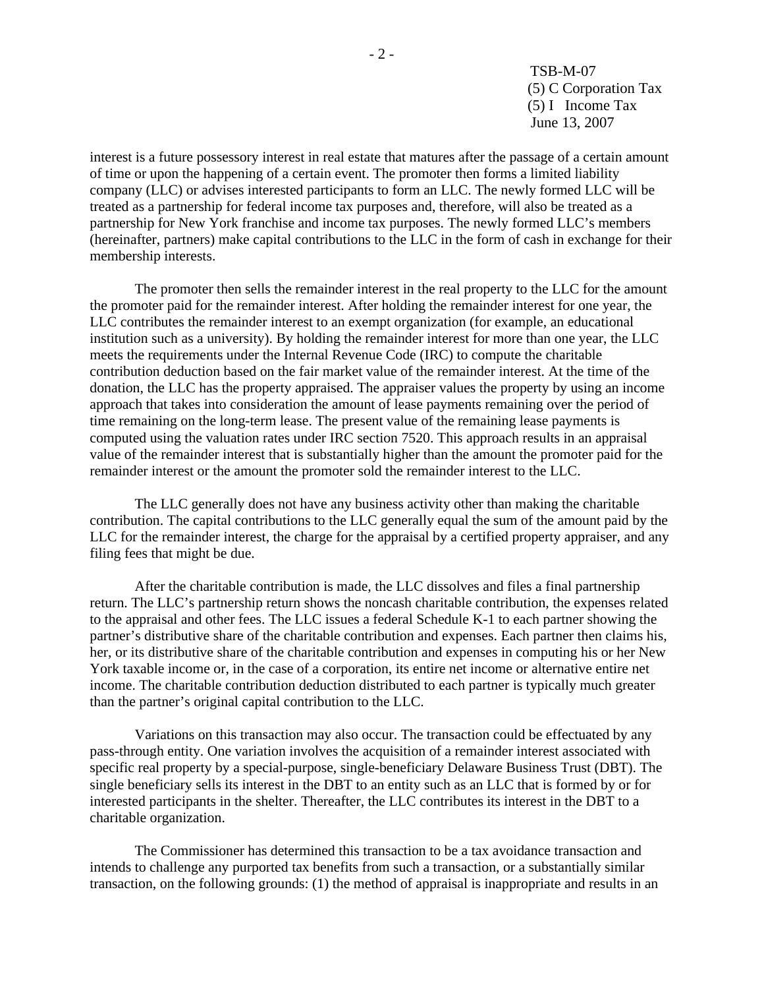TSB-M-07 (5) C Corporation Tax (5) I Income Tax June 13, 2007

interest is a future possessory interest in real estate that matures after the passage of a certain amount of time or upon the happening of a certain event. The promoter then forms a limited liability company (LLC) or advises interested participants to form an LLC. The newly formed LLC will be treated as a partnership for federal income tax purposes and, therefore, will also be treated as a partnership for New York franchise and income tax purposes. The newly formed LLC's members (hereinafter, partners) make capital contributions to the LLC in the form of cash in exchange for their membership interests.

The promoter then sells the remainder interest in the real property to the LLC for the amount the promoter paid for the remainder interest. After holding the remainder interest for one year, the LLC contributes the remainder interest to an exempt organization (for example, an educational institution such as a university). By holding the remainder interest for more than one year, the LLC meets the requirements under the Internal Revenue Code (IRC) to compute the charitable contribution deduction based on the fair market value of the remainder interest. At the time of the donation, the LLC has the property appraised. The appraiser values the property by using an income approach that takes into consideration the amount of lease payments remaining over the period of time remaining on the long-term lease. The present value of the remaining lease payments is computed using the valuation rates under IRC section 7520. This approach results in an appraisal value of the remainder interest that is substantially higher than the amount the promoter paid for the remainder interest or the amount the promoter sold the remainder interest to the LLC.

The LLC generally does not have any business activity other than making the charitable contribution. The capital contributions to the LLC generally equal the sum of the amount paid by the LLC for the remainder interest, the charge for the appraisal by a certified property appraiser, and any filing fees that might be due.

After the charitable contribution is made, the LLC dissolves and files a final partnership return. The LLC's partnership return shows the noncash charitable contribution, the expenses related to the appraisal and other fees. The LLC issues a federal Schedule K-1 to each partner showing the partner's distributive share of the charitable contribution and expenses. Each partner then claims his, her, or its distributive share of the charitable contribution and expenses in computing his or her New York taxable income or, in the case of a corporation, its entire net income or alternative entire net income. The charitable contribution deduction distributed to each partner is typically much greater than the partner's original capital contribution to the LLC.

Variations on this transaction may also occur. The transaction could be effectuated by any pass-through entity. One variation involves the acquisition of a remainder interest associated with specific real property by a special-purpose, single-beneficiary Delaware Business Trust (DBT). The single beneficiary sells its interest in the DBT to an entity such as an LLC that is formed by or for interested participants in the shelter. Thereafter, the LLC contributes its interest in the DBT to a charitable organization.

The Commissioner has determined this transaction to be a tax avoidance transaction and intends to challenge any purported tax benefits from such a transaction, or a substantially similar transaction, on the following grounds: (1) the method of appraisal is inappropriate and results in an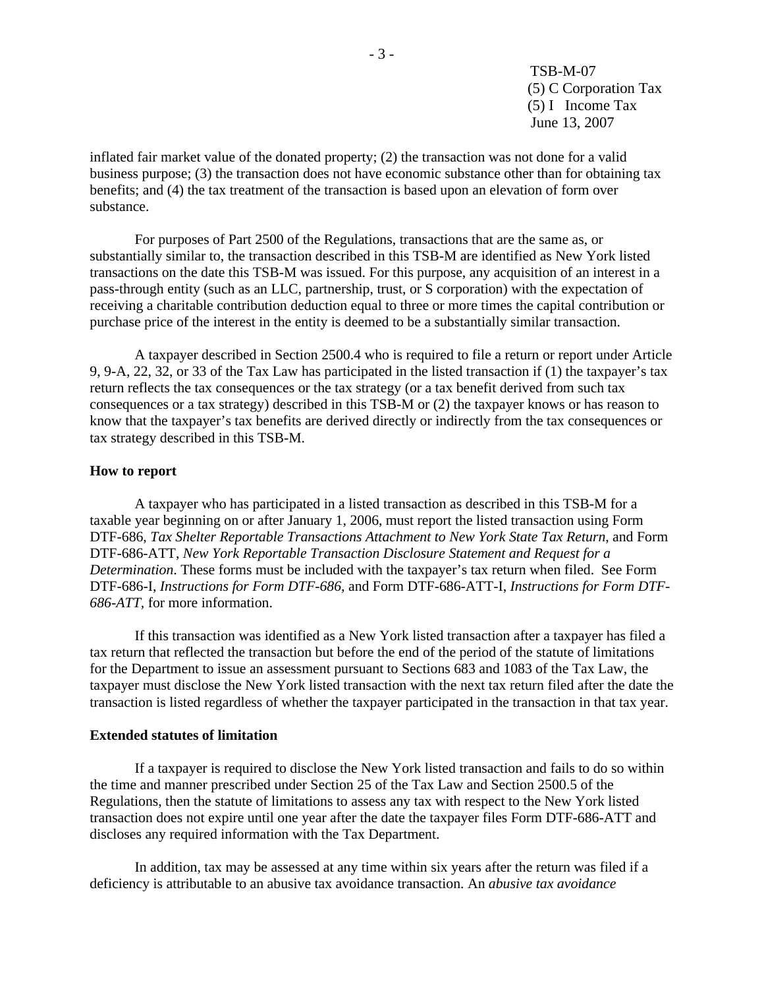TSB-M-07 (5) C Corporation Tax (5) I Income Tax June 13, 2007

inflated fair market value of the donated property; (2) the transaction was not done for a valid business purpose; (3) the transaction does not have economic substance other than for obtaining tax benefits; and (4) the tax treatment of the transaction is based upon an elevation of form over substance.

For purposes of Part 2500 of the Regulations, transactions that are the same as, or substantially similar to, the transaction described in this TSB-M are identified as New York listed transactions on the date this TSB-M was issued. For this purpose, any acquisition of an interest in a pass-through entity (such as an LLC, partnership, trust, or S corporation) with the expectation of receiving a charitable contribution deduction equal to three or more times the capital contribution or purchase price of the interest in the entity is deemed to be a substantially similar transaction.

A taxpayer described in Section 2500.4 who is required to file a return or report under Article 9, 9-A, 22, 32, or 33 of the Tax Law has participated in the listed transaction if (1) the taxpayer's tax return reflects the tax consequences or the tax strategy (or a tax benefit derived from such tax consequences or a tax strategy) described in this TSB-M or (2) the taxpayer knows or has reason to know that the taxpayer's tax benefits are derived directly or indirectly from the tax consequences or tax strategy described in this TSB-M.

#### **How to report**

A taxpayer who has participated in a listed transaction as described in this TSB-M for a taxable year beginning on or after January 1, 2006, must report the listed transaction using Form DTF-686, *Tax Shelter Reportable Transactions Attachment to New York State Tax Return*, and Form DTF-686-ATT, *New York Reportable Transaction Disclosure Statement and Request for a Determination*. These forms must be included with the taxpayer's tax return when filed. See Form DTF-686-I, *Instructions for Form DTF-686*, and Form DTF-686-ATT-I, *Instructions for Form DTF-686-ATT,* for more information.

If this transaction was identified as a New York listed transaction after a taxpayer has filed a tax return that reflected the transaction but before the end of the period of the statute of limitations for the Department to issue an assessment pursuant to Sections 683 and 1083 of the Tax Law, the taxpayer must disclose the New York listed transaction with the next tax return filed after the date the transaction is listed regardless of whether the taxpayer participated in the transaction in that tax year.

#### **Extended statutes of limitation**

If a taxpayer is required to disclose the New York listed transaction and fails to do so within the time and manner prescribed under Section 25 of the Tax Law and Section 2500.5 of the Regulations, then the statute of limitations to assess any tax with respect to the New York listed transaction does not expire until one year after the date the taxpayer files Form DTF-686-ATT and discloses any required information with the Tax Department.

In addition, tax may be assessed at any time within six years after the return was filed if a deficiency is attributable to an abusive tax avoidance transaction. An *abusive tax avoidance*